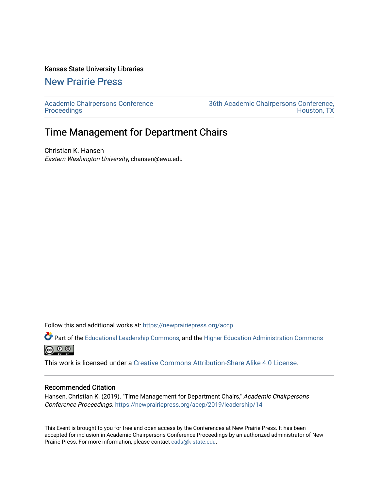### Kansas State University Libraries

## [New Prairie Press](https://newprairiepress.org/)

[Academic Chairpersons Conference](https://newprairiepress.org/accp)  **Proceedings** 

[36th Academic Chairpersons Conference,](https://newprairiepress.org/accp/2019)  [Houston, TX](https://newprairiepress.org/accp/2019) 

# Time Management for Department Chairs

Christian K. Hansen Eastern Washington University, chansen@ewu.edu

Follow this and additional works at: [https://newprairiepress.org/accp](https://newprairiepress.org/accp?utm_source=newprairiepress.org%2Faccp%2F2019%2Fleadership%2F14&utm_medium=PDF&utm_campaign=PDFCoverPages) 

Part of the [Educational Leadership Commons,](http://network.bepress.com/hgg/discipline/1230?utm_source=newprairiepress.org%2Faccp%2F2019%2Fleadership%2F14&utm_medium=PDF&utm_campaign=PDFCoverPages) and the [Higher Education Administration Commons](http://network.bepress.com/hgg/discipline/791?utm_source=newprairiepress.org%2Faccp%2F2019%2Fleadership%2F14&utm_medium=PDF&utm_campaign=PDFCoverPages)  $\circledcirc$ 

This work is licensed under a [Creative Commons Attribution-Share Alike 4.0 License.](https://creativecommons.org/licenses/by-sa/4.0/)

### Recommended Citation

Hansen, Christian K. (2019). "Time Management for Department Chairs," Academic Chairpersons Conference Proceedings.<https://newprairiepress.org/accp/2019/leadership/14>

This Event is brought to you for free and open access by the Conferences at New Prairie Press. It has been accepted for inclusion in Academic Chairpersons Conference Proceedings by an authorized administrator of New Prairie Press. For more information, please contact [cads@k-state.edu.](mailto:cads@k-state.edu)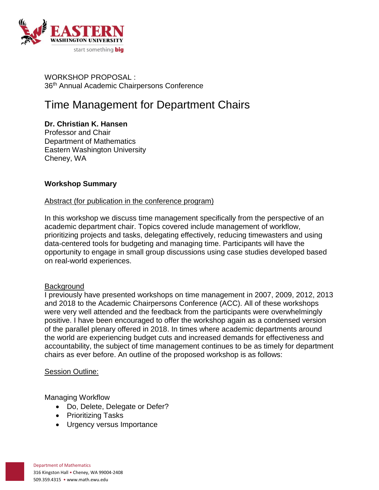

WORKSHOP PROPOSAL : 36<sup>th</sup> Annual Academic Chairpersons Conference

# Time Management for Department Chairs

**Dr. Christian K. Hansen** Professor and Chair Department of Mathematics Eastern Washington University Cheney, WA

## **Workshop Summary**

### Abstract (for publication in the conference program)

In this workshop we discuss time management specifically from the perspective of an academic department chair. Topics covered include management of workflow, prioritizing projects and tasks, delegating effectively, reducing timewasters and using data-centered tools for budgeting and managing time. Participants will have the opportunity to engage in small group discussions using case studies developed based on real-world experiences.

### **Background**

I previously have presented workshops on time management in 2007, 2009, 2012, 2013 and 2018 to the Academic Chairpersons Conference (ACC). All of these workshops were very well attended and the feedback from the participants were overwhelmingly positive. I have been encouraged to offer the workshop again as a condensed version of the parallel plenary offered in 2018. In times where academic departments around the world are experiencing budget cuts and increased demands for effectiveness and accountability, the subject of time management continues to be as timely for department chairs as ever before. An outline of the proposed workshop is as follows:

### Session Outline:

Managing Workflow

- Do, Delete, Delegate or Defer?
- Prioritizing Tasks
- Urgency versus Importance

Department of Mathematics 316 Kingston Hall • Cheney, WA 99004-2408 509.359.4315 • www.math.ewu.edu